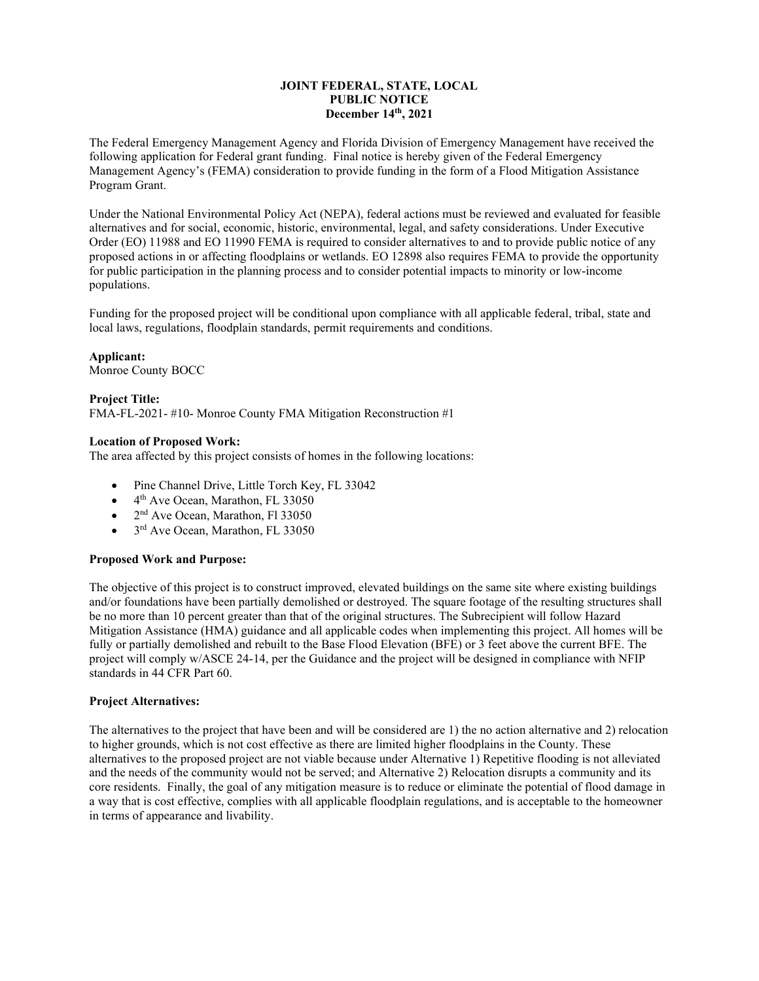# **JOINT FEDERAL, STATE, LOCAL PUBLIC NOTICE December 14th, 2021**

The Federal Emergency Management Agency and Florida Division of Emergency Management have received the following application for Federal grant funding. Final notice is hereby given of the Federal Emergency Management Agency's (FEMA) consideration to provide funding in the form of a Flood Mitigation Assistance Program Grant.

Under the National Environmental Policy Act (NEPA), federal actions must be reviewed and evaluated for feasible alternatives and for social, economic, historic, environmental, legal, and safety considerations. Under Executive Order (EO) 11988 and EO 11990 FEMA is required to consider alternatives to and to provide public notice of any proposed actions in or affecting floodplains or wetlands. EO 12898 also requires FEMA to provide the opportunity for public participation in the planning process and to consider potential impacts to minority or low-income populations.

Funding for the proposed project will be conditional upon compliance with all applicable federal, tribal, state and local laws, regulations, floodplain standards, permit requirements and conditions.

## **Applicant:**

Monroe County BOCC

## **Project Title:**

FMA-FL-2021- #10- Monroe County FMA Mitigation Reconstruction #1

### **Location of Proposed Work:**

The area affected by this project consists of homes in the following locations:

- Pine Channel Drive, Little Torch Key, FL 33042
- $\bullet$  4<sup>th</sup> Ave Ocean, Marathon, FL 33050
- $2<sup>nd</sup>$  Ave Ocean, Marathon, Fl 33050
- 3<sup>rd</sup> Ave Ocean, Marathon, FL 33050

## **Proposed Work and Purpose:**

The objective of this project is to construct improved, elevated buildings on the same site where existing buildings and/or foundations have been partially demolished or destroyed. The square footage of the resulting structures shall be no more than 10 percent greater than that of the original structures. The Subrecipient will follow Hazard Mitigation Assistance (HMA) guidance and all applicable codes when implementing this project. All homes will be fully or partially demolished and rebuilt to the Base Flood Elevation (BFE) or 3 feet above the current BFE. The project will comply w/ASCE 24‐14, per the Guidance and the project will be designed in compliance with NFIP standards in 44 CFR Part 60.

#### **Project Alternatives:**

The alternatives to the project that have been and will be considered are 1) the no action alternative and 2) relocation to higher grounds, which is not cost effective as there are limited higher floodplains in the County. These alternatives to the proposed project are not viable because under Alternative 1) Repetitive flooding is not alleviated and the needs of the community would not be served; and Alternative 2) Relocation disrupts a community and its core residents. Finally, the goal of any mitigation measure is to reduce or eliminate the potential of flood damage in a way that is cost effective, complies with all applicable floodplain regulations, and is acceptable to the homeowner in terms of appearance and livability.